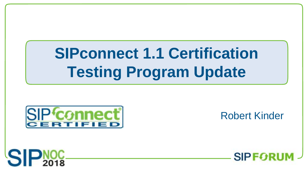# **SIPconnect 1.1 Certification Testing Program Update**



Robert Kinder



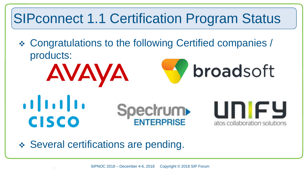#### SIPconnect 1.1 Certification Program Status

 Congratulations to the following Certified companies / products: AVAYA broadsoft  $\mathbf{d}$  ,  $\mathbf{d}$  ,  $\mathbf{d}$  ,  $\mathbf{d}$ unify **Spectrum** 

◆ Several certifications are pending.

atos collaboration solutions

**CISCO**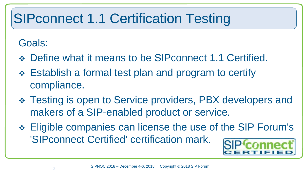## SIPconnect 1.1 Certification Testing

#### Goals:

- Define what it means to be SIPconnect 1.1 Certified.
- Establish a formal test plan and program to certify compliance.
- Testing is open to Service providers, PBX developers and makers of a SIP-enabled product or service.
- Eligible companies can license the use of the SIP Forum's 'SIPconnect Certified' certification mark.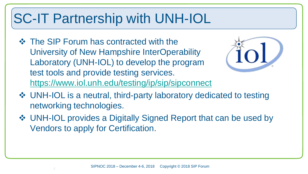### SC-IT Partnership with UNH-IOL

**❖** The SIP Forum has contracted with the University of New Hampshire InterOperability Laboratory (UNH-IOL) to develop the program test tools and provide testing services. <https://www.iol.unh.edu/testing/ip/sip/sipconnect>



- UNH-IOL is a neutral, third-party laboratory dedicated to testing networking technologies.
- UNH-IOL provides a Digitally Signed Report that can be used by Vendors to apply for Certification.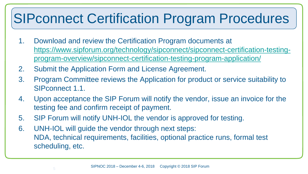#### SIPconnect Certification Program Procedures

- 1. Download and review the Certification Program documents at [https://www.sipforum.org/technology/sipconnect/sipconnect-certification-testing](https://www.sipforum.org/technology/sipconnect/sipconnect-certification-testing-program-overview/sipconnect-certification-testing-program-application/)[program-overview/sipconnect-certification-testing-program-application/](https://www.sipforum.org/technology/sipconnect/sipconnect-certification-testing-program-overview/sipconnect-certification-testing-program-application/)
- 2. Submit the Application Form and License Agreement.
- 3. Program Committee reviews the Application for product or service suitability to SIPconnect 1.1.
- 4. Upon acceptance the SIP Forum will notify the vendor, issue an invoice for the testing fee and confirm receipt of payment.
- 5. SIP Forum will notify UNH-IOL the vendor is approved for testing.
- 6. UNH-IOL will guide the vendor through next steps: NDA, technical requirements, facilities, optional practice runs, formal test scheduling, etc.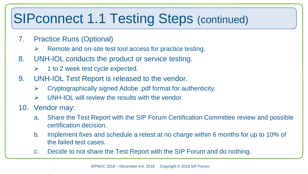#### SIPconnect 1.1 Testing Steps (continued)

- 7. Practice Runs (Optional)
	- $\triangleright$  Remote and on-site test tool access for practice testing.
- 8. UNH-IOL conducts the product or service testing.
	- $\triangleright$  1 to 2 week test cycle expected.
- 9. UNH-IOL Test Report is released to the vendor.
	- $\triangleright$  Cryptographically signed Adobe .pdf format for authenticity.
	- $\triangleright$  UNH-IOL will review the results with the vendor.
- 10. Vendor may:
	- a. Share the Test Report with the SIP Forum Certification Committee review and possible certification decision.
	- b. Implement fixes and schedule a retest at no charge within 6 months for up to 10% of the failed test cases.
	- c. Decide to not share the Test Report with the SIP Forum and do nothing.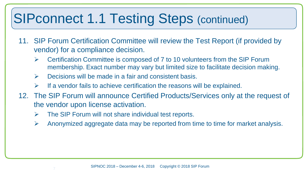#### SIPconnect 1.1 Testing Steps (continued)

- 11. SIP Forum Certification Committee will review the Test Report (if provided by vendor) for a compliance decision.
	- $\triangleright$  Certification Committee is composed of 7 to 10 volunteers from the SIP Forum membership. Exact number may vary but limited size to facilitate decision making.
	- $\triangleright$  Decisions will be made in a fair and consistent basis.
	- If a vendor fails to achieve certification the reasons will be explained.
- 12. The SIP Forum will announce Certified Products/Services only at the request of the vendor upon license activation.
	- $\triangleright$  The SIP Forum will not share individual test reports.
	- $\triangleright$  Anonymized aggregate data may be reported from time to time for market analysis.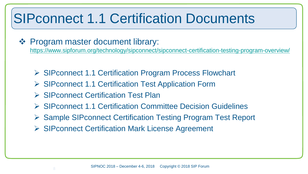#### SIPconnect 1.1 Certification Documents

#### ❖ Program master document library:

<https://www.sipforum.org/technology/sipconnect/sipconnect-certification-testing-program-overview/>

- ▶ SIPconnect 1.1 Certification Program Process Flowchart
- ▶ SIPconnect 1.1 Certification Test Application Form
- ▶ SIPconnect Certification Test Plan
- SIPconnect 1.1 Certification Committee Decision Guidelines
- ▶ Sample SIPconnect Certification Testing Program Test Report
- **► SIPconnect Certification Mark License Agreement**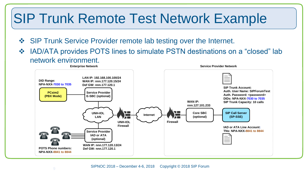#### SIP Trunk Remote Test Network Example

- ◆ SIP Trunk Service Provider remote lab testing over the Internet.
- ◆ IAD/ATA provides POTS lines to simulate PSTN destinations on a "closed" lab network environment.

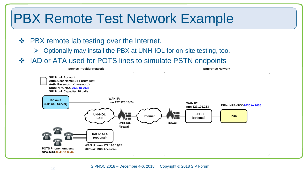#### PBX Remote Test Network Example

- ❖ PBX remote lab testing over the Internet.
	- $\triangleright$  Optionally may install the PBX at UNH-IOL for on-site testing, too.
- ❖ IAD or ATA used for POTS lines to simulate PSTN endpoints

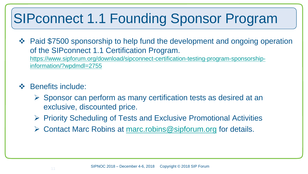### SIPconnect 1.1 Founding Sponsor Program

- ◆ Paid \$7500 sponsorship to help fund the development and ongoing operation of the SIPconnect 1.1 Certification Program. [https://www.sipforum.org/download/sipconnect-certification-testing-program-sponsorship](https://www.sipforum.org/download/sipconnect-certification-testing-program-sponsorship-information/?wpdmdl=2755)[information/?wpdmdl=2755](https://www.sipforum.org/download/sipconnect-certification-testing-program-sponsorship-information/?wpdmdl=2755)
- ❖ Benefits include:
	- $\triangleright$  Sponsor can perform as many certification tests as desired at an exclusive, discounted price.
	- $\triangleright$  Priority Scheduling of Tests and Exclusive Promotional Activities
	- $\triangleright$  Contact Marc Robins at marc.robins @sipforum.org for details.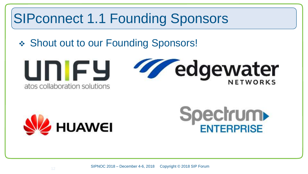#### SIPconnect 1.1 Founding Sponsors

#### ◆ Shout out to our Founding Sponsors!